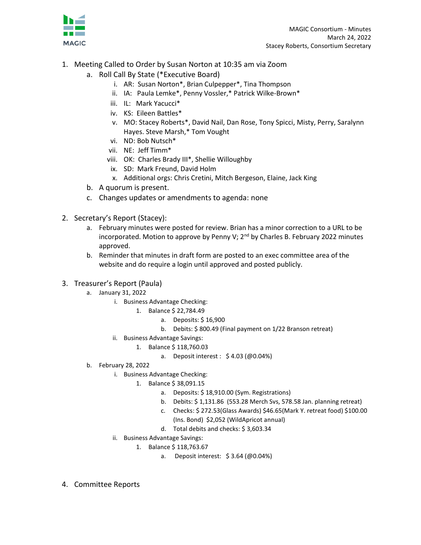

- 1. Meeting Called to Order by Susan Norton at 10:35 am via Zoom
	- a. Roll Call By State (\*Executive Board)
		- i. AR: Susan Norton\*, Brian Culpepper\*, Tina Thompson
		- ii. IA: Paula Lemke\*, Penny Vossler,\* Patrick Wilke-Brown\*
		- iii. IL: Mark Yacucci\*
		- iv. KS: Eileen Battles\*
		- v. MO: Stacey Roberts\*, David Nail, Dan Rose, Tony Spicci, Misty, Perry, Saralynn Hayes. Steve Marsh,\* Tom Vought
		- vi. ND: Bob Nutsch\*
		- vii. NE: Jeff Timm\*
		- viii. OK: Charles Brady III\*, Shellie Willoughby
		- ix. SD: Mark Freund, David Holm
		- x. Additional orgs: Chris Cretini, Mitch Bergeson, Elaine, Jack King
	- b. A quorum is present.
	- c. Changes updates or amendments to agenda: none
- 2. Secretary's Report (Stacey):
	- a. February minutes were posted for review. Brian has a minor correction to a URL to be incorporated. Motion to approve by Penny V; 2<sup>nd</sup> by Charles B. February 2022 minutes approved.
	- b. Reminder that minutes in draft form are posted to an exec committee area of the website and do require a login until approved and posted publicly.
- 3. Treasurer's Report (Paula)
	- a. January 31, 2022
		- i. Business Advantage Checking:
			- 1. Balance \$ 22,784.49
				- a. Deposits: \$ 16,900
				- b. Debits: \$ 800.49 (Final payment on 1/22 Branson retreat)
		- ii. Business Advantage Savings:
			- 1. Balance \$ 118,760.03
				- a. Deposit interest : \$ 4.03 (@0.04%)
	- b. February 28, 2022
		- i. Business Advantage Checking:
			- 1. Balance \$ 38,091.15
				- a. Deposits: \$ 18,910.00 (Sym. Registrations)
				- b. Debits: \$ 1,131.86 (553.28 Merch Svs, 578.58 Jan. planning retreat)
				- c. Checks: \$ 272.53(Glass Awards) \$46.65(Mark Y. retreat food) \$100.00 (Ins. Bond) \$2,052 (WildApricot annual)
				- d. Total debits and checks: \$ 3,603.34
		- ii. Business Advantage Savings:
			- 1. Balance \$ 118,763.67
				- a. Deposit interest: \$ 3.64 (@0.04%)
- 4. Committee Reports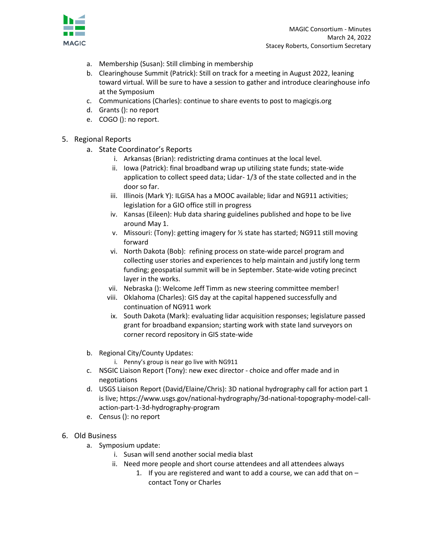

- a. Membership (Susan): Still climbing in membership
- b. Clearinghouse Summit (Patrick): Still on track for a meeting in August 2022, leaning toward virtual. Will be sure to have a session to gather and introduce clearinghouse info at the Symposium
- c. Communications (Charles): continue to share events to post to magicgis.org
- d. Grants (): no report
- e. COGO (): no report.

## 5. Regional Reports

- a. State Coordinator's Reports
	- i. Arkansas (Brian): redistricting drama continues at the local level.
	- ii. Iowa (Patrick): final broadband wrap up utilizing state funds; state-wide application to collect speed data; Lidar- 1/3 of the state collected and in the door so far.
	- iii. Illinois (Mark Y): ILGISA has a MOOC available; lidar and NG911 activities; legislation for a GIO office still in progress
	- iv. Kansas (Eileen): Hub data sharing guidelines published and hope to be live around May 1.
	- v. Missouri: (Tony): getting imagery for ½ state has started; NG911 still moving forward
	- vi. North Dakota (Bob): refining process on state-wide parcel program and collecting user stories and experiences to help maintain and justify long term funding; geospatial summit will be in September. State-wide voting precinct layer in the works.
	- vii. Nebraska (): Welcome Jeff Timm as new steering committee member!
	- viii. Oklahoma (Charles): GIS day at the capital happened successfully and continuation of NG911 work
	- ix. South Dakota (Mark): evaluating lidar acquisition responses; legislature passed grant for broadband expansion; starting work with state land surveyors on corner record repository in GIS state-wide
- b. Regional City/County Updates:

i. Penny's group is near go live with NG911

- c. NSGIC Liaison Report (Tony): new exec director choice and offer made and in negotiations
- d. USGS Liaison Report (David/Elaine/Chris): 3D national hydrography call for action part 1 is live; https://www.usgs.gov/national-hydrography/3d-national-topography-model-callaction-part-1-3d-hydrography-program
- e. Census (): no report
- 6. Old Business
	- a. Symposium update:
		- i. Susan will send another social media blast
		- ii. Need more people and short course attendees and all attendees always
			- 1. If you are registered and want to add a course, we can add that on  $$ contact Tony or Charles